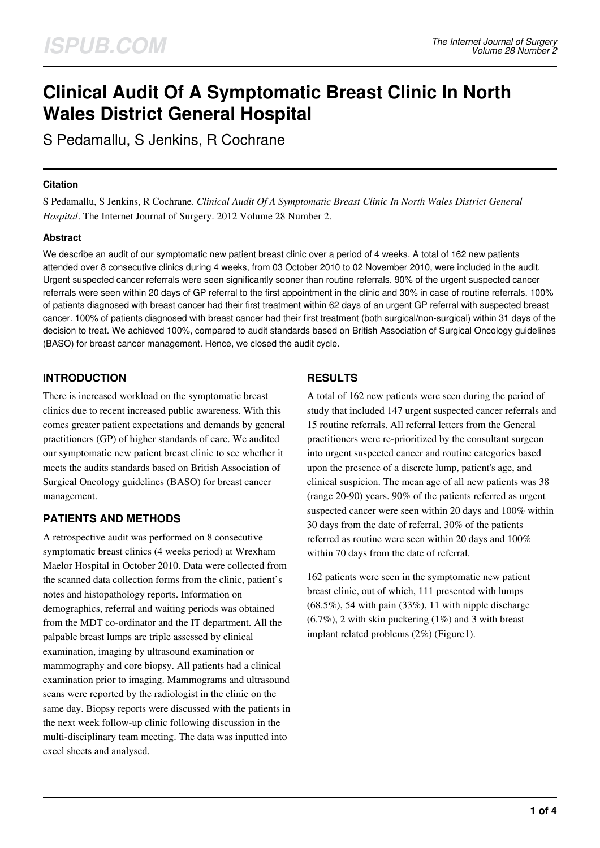# **Clinical Audit Of A Symptomatic Breast Clinic In North Wales District General Hospital**

S Pedamallu, S Jenkins, R Cochrane

#### **Citation**

S Pedamallu, S Jenkins, R Cochrane. *Clinical Audit Of A Symptomatic Breast Clinic In North Wales District General Hospital*. The Internet Journal of Surgery. 2012 Volume 28 Number 2.

## **Abstract**

We describe an audit of our symptomatic new patient breast clinic over a period of 4 weeks. A total of 162 new patients attended over 8 consecutive clinics during 4 weeks, from 03 October 2010 to 02 November 2010, were included in the audit. Urgent suspected cancer referrals were seen significantly sooner than routine referrals. 90% of the urgent suspected cancer referrals were seen within 20 days of GP referral to the first appointment in the clinic and 30% in case of routine referrals. 100% of patients diagnosed with breast cancer had their first treatment within 62 days of an urgent GP referral with suspected breast cancer. 100% of patients diagnosed with breast cancer had their first treatment (both surgical/non-surgical) within 31 days of the decision to treat. We achieved 100%, compared to audit standards based on British Association of Surgical Oncology guidelines (BASO) for breast cancer management. Hence, we closed the audit cycle.

# **INTRODUCTION**

There is increased workload on the symptomatic breast clinics due to recent increased public awareness. With this comes greater patient expectations and demands by general practitioners (GP) of higher standards of care. We audited our symptomatic new patient breast clinic to see whether it meets the audits standards based on British Association of Surgical Oncology guidelines (BASO) for breast cancer management.

# **PATIENTS AND METHODS**

A retrospective audit was performed on 8 consecutive symptomatic breast clinics (4 weeks period) at Wrexham Maelor Hospital in October 2010. Data were collected from the scanned data collection forms from the clinic, patient's notes and histopathology reports. Information on demographics, referral and waiting periods was obtained from the MDT co-ordinator and the IT department. All the palpable breast lumps are triple assessed by clinical examination, imaging by ultrasound examination or mammography and core biopsy. All patients had a clinical examination prior to imaging. Mammograms and ultrasound scans were reported by the radiologist in the clinic on the same day. Biopsy reports were discussed with the patients in the next week follow-up clinic following discussion in the multi-disciplinary team meeting. The data was inputted into excel sheets and analysed.

# **RESULTS**

A total of 162 new patients were seen during the period of study that included 147 urgent suspected cancer referrals and 15 routine referrals. All referral letters from the General practitioners were re-prioritized by the consultant surgeon into urgent suspected cancer and routine categories based upon the presence of a discrete lump, patient's age, and clinical suspicion. The mean age of all new patients was 38 (range 20-90) years. 90% of the patients referred as urgent suspected cancer were seen within 20 days and 100% within 30 days from the date of referral. 30% of the patients referred as routine were seen within 20 days and 100% within 70 days from the date of referral.

162 patients were seen in the symptomatic new patient breast clinic, out of which, 111 presented with lumps  $(68.5\%)$ , 54 with pain  $(33\%)$ , 11 with nipple discharge  $(6.7\%)$ , 2 with skin puckering  $(1\%)$  and 3 with breast implant related problems (2%) (Figure1).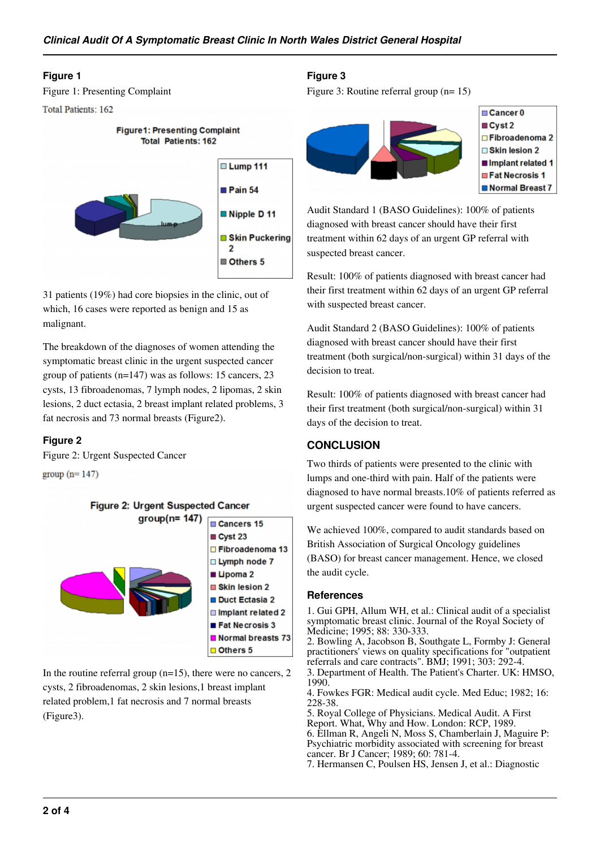#### **Figure 1**

Figure 1: Presenting Complaint

```
Total Patients: 162
```


31 patients (19%) had core biopsies in the clinic, out of which, 16 cases were reported as benign and 15 as malignant.

The breakdown of the diagnoses of women attending the symptomatic breast clinic in the urgent suspected cancer group of patients (n=147) was as follows: 15 cancers, 23 cysts, 13 fibroadenomas, 7 lymph nodes, 2 lipomas, 2 skin lesions, 2 duct ectasia, 2 breast implant related problems, 3 fat necrosis and 73 normal breasts (Figure2).

## **Figure 2**

Figure 2: Urgent Suspected Cancer

group  $(n=147)$ 



In the routine referral group  $(n=15)$ , there were no cancers, 2 cysts, 2 fibroadenomas, 2 skin lesions,1 breast implant related problem,1 fat necrosis and 7 normal breasts (Figure3).

## **Figure 3**

Figure 3: Routine referral group (n= 15)



Audit Standard 1 (BASO Guidelines): 100% of patients diagnosed with breast cancer should have their first treatment within 62 days of an urgent GP referral with suspected breast cancer.

Result: 100% of patients diagnosed with breast cancer had their first treatment within 62 days of an urgent GP referral with suspected breast cancer.

Audit Standard 2 (BASO Guidelines): 100% of patients diagnosed with breast cancer should have their first treatment (both surgical/non-surgical) within 31 days of the decision to treat.

Result: 100% of patients diagnosed with breast cancer had their first treatment (both surgical/non-surgical) within 31 days of the decision to treat.

# **CONCLUSION**

Two thirds of patients were presented to the clinic with lumps and one-third with pain. Half of the patients were diagnosed to have normal breasts.10% of patients referred as urgent suspected cancer were found to have cancers.

We achieved 100%, compared to audit standards based on British Association of Surgical Oncology guidelines (BASO) for breast cancer management. Hence, we closed the audit cycle.

## **References**

1. Gui GPH, Allum WH, et al.: Clinical audit of a specialist symptomatic breast clinic. Journal of the Royal Society of Medicine; 1995; 88: 330-333.

2. Bowling A, Jacobson B, Southgate L, Formby J: General practitioners' views on quality specifications for "outpatient referrals and care contracts". BMJ; 1991; 303: 292-4.

3. Department of Health. The Patient's Charter. UK: HMSO, 1990.

4. Fowkes FGR: Medical audit cycle. Med Educ; 1982; 16: 228-38.

5. Royal College of Physicians. Medical Audit. A First Report. What, Why and How. London: RCP, 1989. 6. Ellman R, Angeli N, Moss S, Chamberlain J, Maguire P: Psychiatric morbidity associated with screening for breast cancer. Br J Cancer; 1989; 60: 781-4.

7. Hermansen C, Poulsen HS, Jensen J, et al.: Diagnostic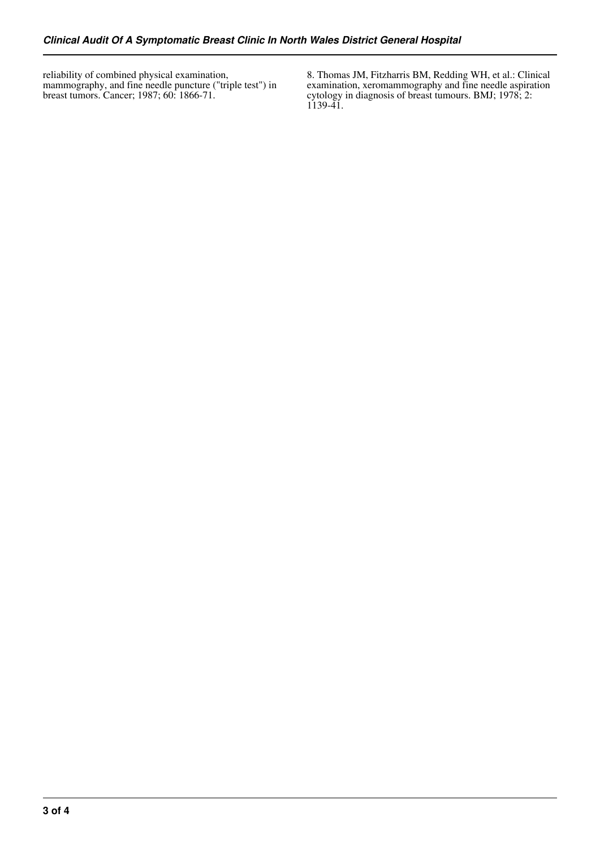reliability of combined physical examination, mammography, and fine needle puncture ("triple test") in breast tumors. Cancer; 1987; 60: 1866-71.

8. Thomas JM, Fitzharris BM, Redding WH, et al.: Clinical examination, xeromammography and fine needle aspiration cytology in diagnosis of breast tumours. BMJ; 1978; 2: 1139-41.